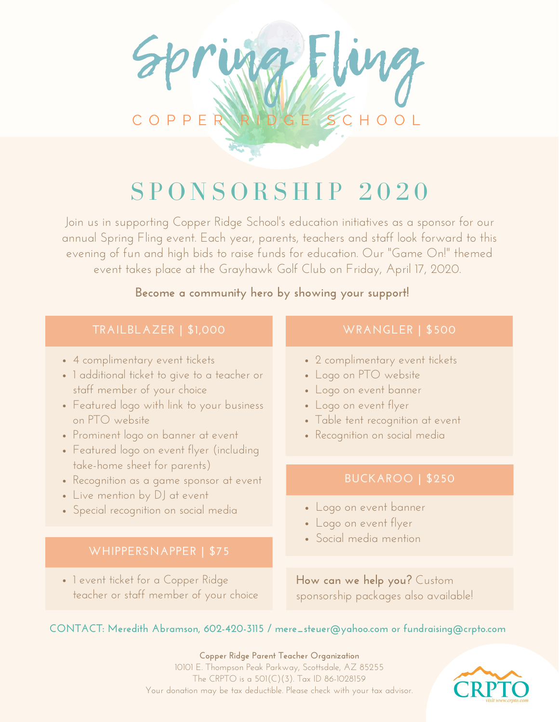

# $S$  PONSORSHIP 2020

Join us in supporting Copper Ridge School' s education initiatives as a sponsor for our annual Spring Fling event. Each year, parents, teachers and staff look forward to this evening of fun and high bids to raise funds for education. Our "Game On!" themed event takes place at the Grayhawk Golf Club on Friday, April 17, 2020.

### **Become a community hero by showing your support!**

### **TRAILBLAZER | \$1,000 WRANGLER | \$500**

- 4 complimentary event tickets
- 1 additional ticket to give to a teacher or staff member of your choice
- Featured logo with link to your business on PTO website
- Prominent logo on banner at event
- Featured logo on event flyer (including take-home sheet for parents)
- Recognition as a game sponsor at event
- Live mention by DJ at event
- Special recognition on social media

• I event ticket for a Copper Ridge teacher or staff member of your choice

- 2 complimentary event tickets
- Logo on PTO website
- Logo on event banner
- Logo on event flyer
- Table tent recognition at event
- Recognition on social media

- Logo on event banner
- Logo on event flyer
- Social media mention

**How can we help you?** Custom sponsorship packages also available!

### **CONTACT: Meredith Abramson, 602-420-3115 / mere\_steuer@yahoo.com or fundraising@crpto.com**

**Copper Ridge Parent Teacher Organization** 10101 E. Thompson Peak Parkway, Scottsdale, AZ 85255 The CRPTO is a 501(C)(3). Tax ID 86-1028159 Your donation may be tax deductible. Please check with your tax advisor.